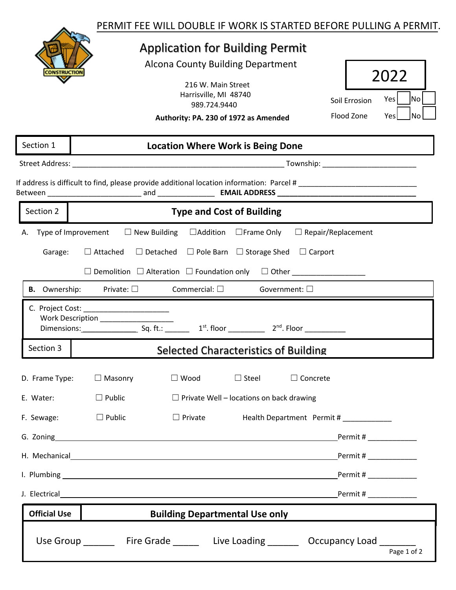## Application for Building Permit

Alcona County Building Department

| 216 W. Main Street    |  |
|-----------------------|--|
| Harrisville, MI 48740 |  |
| 989.724.9440          |  |
|                       |  |

| 2(1)          |      |    |
|---------------|------|----|
| Soil Errosion | Yes  | No |
| Flood Zone    | Yes' | No |

Page 1 of 2

**Authority: PA. 230 of 1972 as Amended**

## Street Address: \_\_\_\_\_\_\_\_\_\_\_\_\_\_\_\_\_\_\_\_\_\_\_\_\_\_\_\_\_\_\_\_\_\_\_\_\_\_\_\_\_\_\_\_\_\_\_\_\_\_\_\_ Township: \_\_\_\_\_\_\_\_\_\_\_\_\_\_\_\_\_\_\_\_\_\_\_ If address is difficult to find, please provide additional location information: Parcel # \_\_\_\_\_\_\_\_\_\_\_\_\_\_\_\_\_\_\_\_\_ Between \_\_\_\_\_\_\_\_\_\_\_\_\_\_\_\_\_\_\_\_\_\_\_ and \_\_\_\_\_\_\_\_\_\_\_\_\_\_ **EMAIL ADDRESS \_\_\_\_\_\_\_\_\_\_\_\_\_\_\_\_\_\_\_\_\_\_\_\_\_\_\_\_\_\_\_\_\_\_** A. Type of Improvement □ New Building □ Addition □ Frame Only □ Repair/Replacement Garage:  $\Box$  Attached  $\Box$  Detached  $\Box$  Pole Barn  $\Box$  Storage Shed  $\Box$  Carport ☐ Demolition ☐ Alteration ☐ Foundation only ☐ Other \_\_\_\_\_\_\_\_\_\_\_\_\_\_\_\_\_\_ D. Frame Type: ☐ Masonry ☐ Wood ☐ Steel ☐ Concrete E. Water:  $\Box$  Public  $\Box$  Private Well – locations on back drawing F. Sewage: □ Public □ Private Health Department Permit # \_\_\_\_\_\_\_\_\_\_ G. Zoning Permit # \_\_\_\_\_\_\_\_\_\_\_\_ H. Mechanical Permit #  $\blacksquare$ I. Plumbing Permit # \_\_\_\_\_\_\_\_\_\_\_\_ J. Electrical **Permit #**  $\blacksquare$ Section 1 **Location Where Work is Being Done B.** Ownership: Private: □ Commercial: □ Government: □ C. Project Cost: Work Description \_\_\_\_\_\_\_\_\_\_\_\_\_\_\_\_\_\_ Dimensions: \_\_\_\_\_\_\_\_\_\_\_\_\_\_\_\_\_\_\_\_ Sq. ft.: \_\_\_\_\_\_\_\_ 1<sup>st</sup>. floor \_\_\_\_\_\_\_\_\_ 2<sup>nd</sup>. Floor \_\_\_\_\_\_\_\_\_\_\_ Section 3 Selected Characteristics of Building **Section 2 Type and Cost of Building Official Use | Consulted Building Departmental Use only** Use Group Fire Grade Live Loading Decupancy Load Live Loading Algorithm Corresponding Load